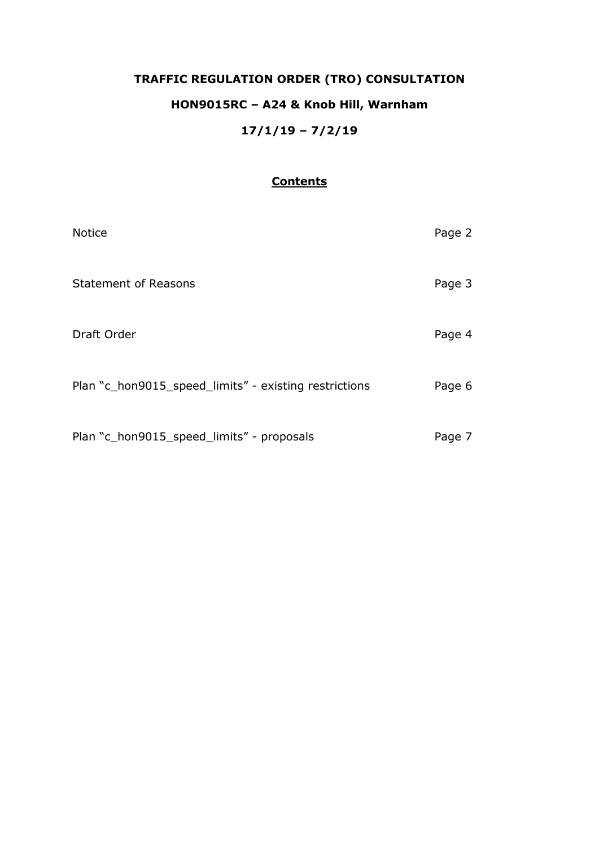# **TRAFFIC REGULATION ORDER (TRO) CONSULTATION HON9015RC – A24 & Knob Hill, Warnham 17/1/19 – 7/2/19**

## **Contents**

| <b>Notice</b>                                         | Page 2 |
|-------------------------------------------------------|--------|
| <b>Statement of Reasons</b>                           | Page 3 |
| Draft Order                                           | Page 4 |
| Plan "c_hon9015_speed_limits" - existing restrictions | Page 6 |
| Plan "c_hon9015_speed_limits" - proposals             | Page 7 |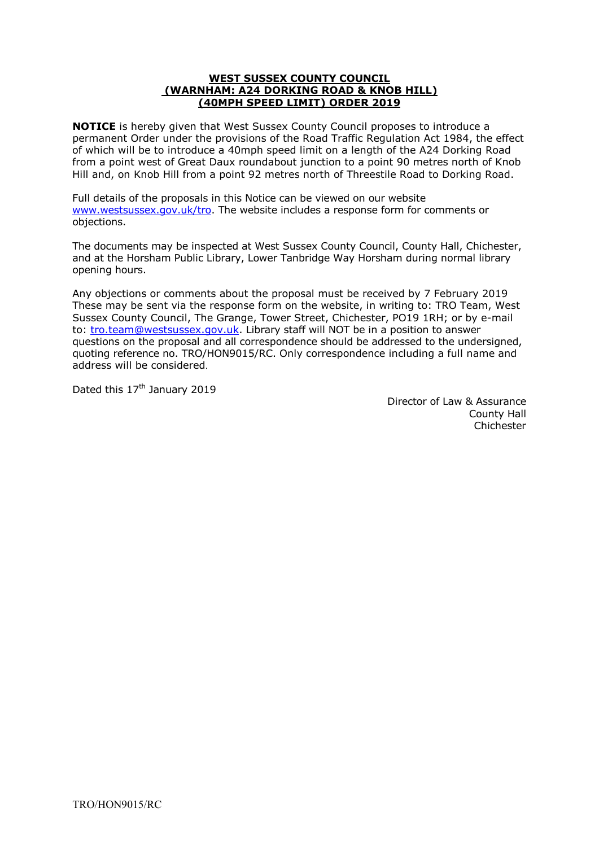#### **WEST SUSSEX COUNTY COUNCIL (WARNHAM: A24 DORKING ROAD & KNOB HILL) (40MPH SPEED LIMIT) ORDER 2019**

**NOTICE** is hereby given that West Sussex County Council proposes to introduce a permanent Order under the provisions of the Road Traffic Regulation Act 1984, the effect of which will be to introduce a 40mph speed limit on a length of the A24 Dorking Road from a point west of Great Daux roundabout junction to a point 90 metres north of Knob Hill and, on Knob Hill from a point 92 metres north of Threestile Road to Dorking Road.

Full details of the proposals in this Notice can be viewed on our website [www.westsussex.gov.uk/tro.](http://www.westsussex.gov.uk/tro) The website includes a response form for comments or objections.

The documents may be inspected at West Sussex County Council, County Hall, Chichester, and at the Horsham Public Library, Lower Tanbridge Way Horsham during normal library opening hours.

Any objections or comments about the proposal must be received by 7 February 2019 These may be sent via the response form on the website, in writing to: TRO Team, West Sussex County Council, The Grange, Tower Street, Chichester, PO19 1RH; or by e-mail to: [tro.team@westsussex.gov.uk.](mailto:tro.team@westsussex.gov.uk) Library staff will NOT be in a position to answer questions on the proposal and all correspondence should be addressed to the undersigned, quoting reference no. TRO/HON9015/RC. Only correspondence including a full name and address will be considered.

Dated this 17<sup>th</sup> January 2019

 Director of Law & Assurance County Hall Chichester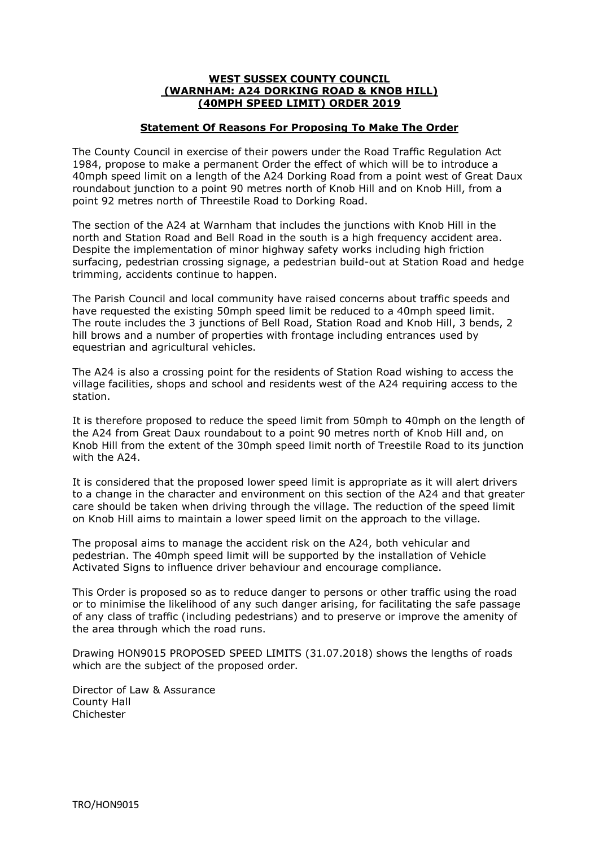#### **WEST SUSSEX COUNTY COUNCIL (WARNHAM: A24 DORKING ROAD & KNOB HILL) (40MPH SPEED LIMIT) ORDER 2019**

### **Statement Of Reasons For Proposing To Make The Order**

The County Council in exercise of their powers under the Road Traffic Regulation Act 1984, propose to make a permanent Order the effect of which will be to introduce a 40mph speed limit on a length of the A24 Dorking Road from a point west of Great Daux roundabout junction to a point 90 metres north of Knob Hill and on Knob Hill, from a point 92 metres north of Threestile Road to Dorking Road.

The section of the A24 at Warnham that includes the junctions with Knob Hill in the north and Station Road and Bell Road in the south is a high frequency accident area. Despite the implementation of minor highway safety works including high friction surfacing, pedestrian crossing signage, a pedestrian build-out at Station Road and hedge trimming, accidents continue to happen.

The Parish Council and local community have raised concerns about traffic speeds and have requested the existing 50mph speed limit be reduced to a 40mph speed limit. The route includes the 3 junctions of Bell Road, Station Road and Knob Hill, 3 bends, 2 hill brows and a number of properties with frontage including entrances used by equestrian and agricultural vehicles.

The A24 is also a crossing point for the residents of Station Road wishing to access the village facilities, shops and school and residents west of the A24 requiring access to the station.

It is therefore proposed to reduce the speed limit from 50mph to 40mph on the length of the A24 from Great Daux roundabout to a point 90 metres north of Knob Hill and, on Knob Hill from the extent of the 30mph speed limit north of Treestile Road to its junction with the A24.

It is considered that the proposed lower speed limit is appropriate as it will alert drivers to a change in the character and environment on this section of the A24 and that greater care should be taken when driving through the village. The reduction of the speed limit on Knob Hill aims to maintain a lower speed limit on the approach to the village.

The proposal aims to manage the accident risk on the A24, both vehicular and pedestrian. The 40mph speed limit will be supported by the installation of Vehicle Activated Signs to influence driver behaviour and encourage compliance.

This Order is proposed so as to reduce danger to persons or other traffic using the road or to minimise the likelihood of any such danger arising, for facilitating the safe passage of any class of traffic (including pedestrians) and to preserve or improve the amenity of the area through which the road runs.

Drawing HON9015 PROPOSED SPEED LIMITS (31.07.2018) shows the lengths of roads which are the subject of the proposed order.

Director of Law & Assurance County Hall Chichester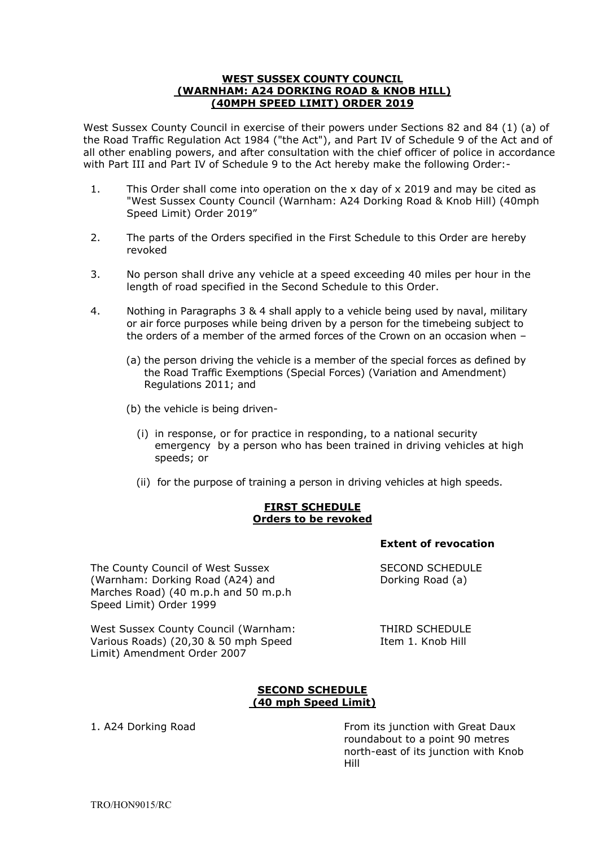#### **WEST SUSSEX COUNTY COUNCIL (WARNHAM: A24 DORKING ROAD & KNOB HILL) (40MPH SPEED LIMIT) ORDER 2019**

West Sussex County Council in exercise of their powers under Sections 82 and 84 (1) (a) of the Road Traffic Regulation Act 1984 ("the Act"), and Part IV of Schedule 9 of the Act and of all other enabling powers, and after consultation with the chief officer of police in accordance with Part III and Part IV of Schedule 9 to the Act hereby make the following Order:-

- 1. This Order shall come into operation on the x day of x 2019 and may be cited as "West Sussex County Council (Warnham: A24 Dorking Road & Knob Hill) (40mph Speed Limit) Order 2019"
- 2. The parts of the Orders specified in the First Schedule to this Order are hereby revoked
- 3. No person shall drive any vehicle at a speed exceeding 40 miles per hour in the length of road specified in the Second Schedule to this Order.
- 4. Nothing in Paragraphs 3 & 4 shall apply to a vehicle being used by naval, military or air force purposes while being driven by a person for the timebeing subject to the orders of a member of the armed forces of the Crown on an occasion when –
	- (a) the person driving the vehicle is a member of the special forces as defined by the Road Traffic Exemptions (Special Forces) (Variation and Amendment) Regulations 2011; and
	- (b) the vehicle is being driven-
		- (i) in response, or for practice in responding, to a national security emergency by a person who has been trained in driving vehicles at high speeds; or
		- (ii) for the purpose of training a person in driving vehicles at high speeds.

### **FIRST SCHEDULE Orders to be revoked**

**Extent of revocation**

The County Council of West Sussex SECOND SCHEDULE (Warnham: Dorking Road (A24) and Dorking Road (a) Marches Road) (40 m.p.h and 50 m.p.h Speed Limit) Order 1999

West Sussex County Council (Warnham: THIRD SCHEDULE Various Roads) (20,30 & 50 mph Speed Item 1. Knob Hill Limit) Amendment Order 2007

### **SECOND SCHEDULE (40 mph Speed Limit)**

1. A24 Dorking Road From its junction with Great Daux roundabout to a point 90 metres north-east of its junction with Knob Hill

TRO/HON9015/RC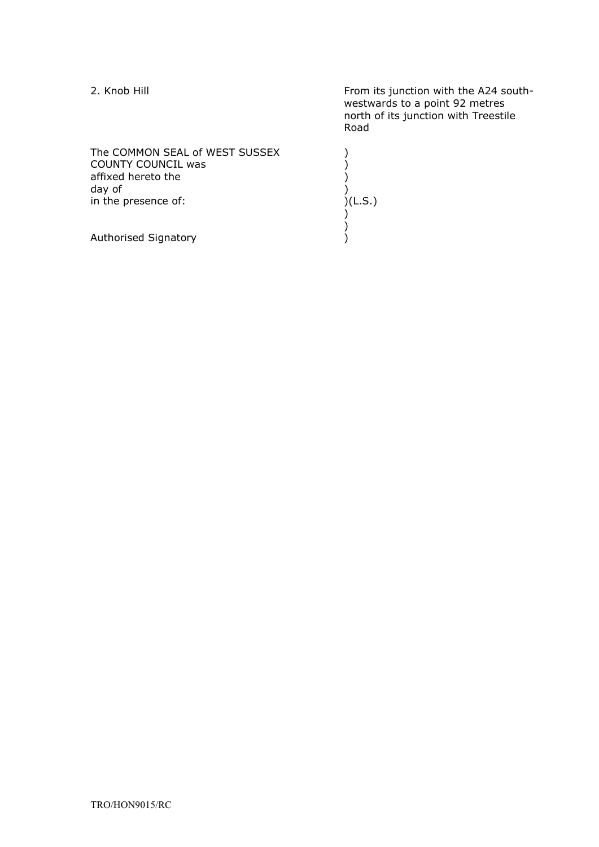| 2. Knob Hill                                                                                                       | From its junction with the A24 south-<br>westwards to a point 92 metres<br>north of its junction with Treestile<br>Road |
|--------------------------------------------------------------------------------------------------------------------|-------------------------------------------------------------------------------------------------------------------------|
| The COMMON SEAL of WEST SUSSEX<br><b>COUNTY COUNCIL was</b><br>affixed hereto the<br>day of<br>in the presence of: | )(L.S.)                                                                                                                 |
| Authorised Signatory                                                                                               |                                                                                                                         |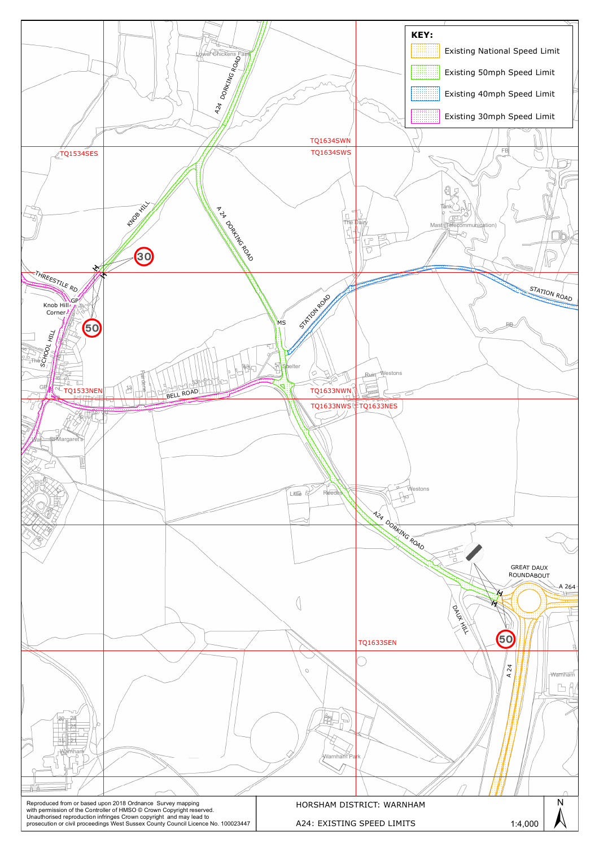